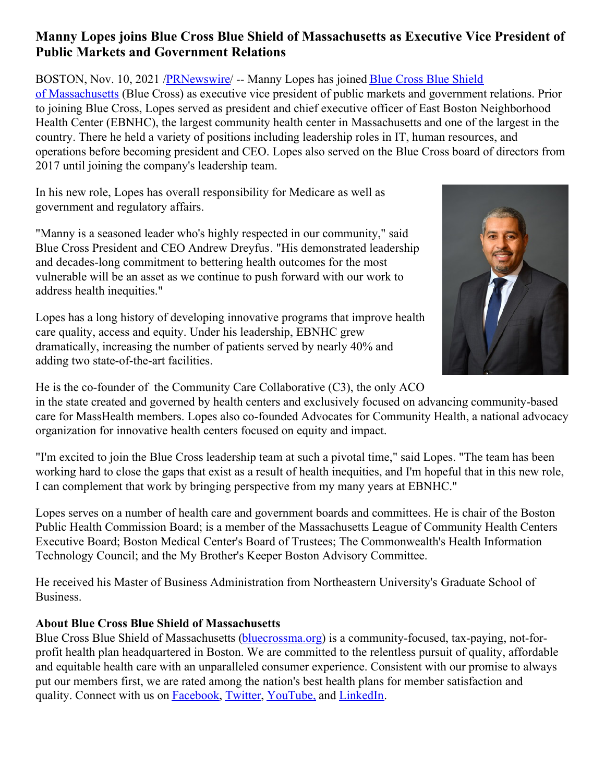## **Manny Lopes joins Blue Cross Blue Shield of Massachusetts as Executive Vice President of Public Markets and Government Relations**

BOSTON, Nov. 10, 2021 [/](https://c212.net/c/link/?t=0&l=en&o=3354772-1&h=2335811664&u=https%3A%2F%2Fc212.net%2Fc%2Flink%2F%3Ft%3D0%26l%3Den%26o%3D3344186-1%26h%3D2530830825%26u%3Dhttps%253A%252F%252Fc212.net%252Fc%252Flink%252F%253Ft%253D0%2526l%253Den%2526o%253D2975825-1%2526h%253D1950946595%2526u%253Dhttps%25253A%25252F%25252Fc212.net%25252Fc%25252Flink%25252F%25253Ft%25253D0%252526l%25253Den%252526o%25253D2637895-1%252526h%25253D4092538723%252526u%25253Dhttps%2525253A%2525252F%2525252Faboutus.bluecrossma.com%2525252F%252526a%25253DBlue%25252BCross%25252BBlue%25252BShield%25252Bof%25252BMassachusetts%2526a%253DBlue%252BCross%252BBlue%252BShield%252Bof%2525C2%2525A0Massachusetts%26a%3DBlue%2BCross%2BBlue%2BShield%2Bof%25C2%25A0Massachusetts&a=Blue+Cross+Blue+Shield+of%C2%A0Massachusetts)[PRNewswir](http://www.prnewswire.com/)[e/](https://c212.net/c/link/?t=0&l=en&o=3354772-1&h=2335811664&u=https%3A%2F%2Fc212.net%2Fc%2Flink%2F%3Ft%3D0%26l%3Den%26o%3D3344186-1%26h%3D2530830825%26u%3Dhttps%253A%252F%252Fc212.net%252Fc%252Flink%252F%253Ft%253D0%2526l%253Den%2526o%253D2975825-1%2526h%253D1950946595%2526u%253Dhttps%25253A%25252F%25252Fc212.net%25252Fc%25252Flink%25252F%25253Ft%25253D0%252526l%25253Den%252526o%25253D2637895-1%252526h%25253D4092538723%252526u%25253Dhttps%2525253A%2525252F%2525252Faboutus.bluecrossma.com%2525252F%252526a%25253DBlue%25252BCross%25252BBlue%25252BShield%25252Bof%25252BMassachusetts%2526a%253DBlue%252BCross%252BBlue%252BShield%252Bof%2525C2%2525A0Massachusetts%26a%3DBlue%2BCross%2BBlue%2BShield%2Bof%25C2%25A0Massachusetts&a=Blue+Cross+Blue+Shield+of%C2%A0Massachusetts) -- Manny Lopes has joined Blue Cross Blue Shield of Massachusetts (Blue Cross) as executive vice president of public markets and government relations. Prior to joining Blue Cross, Lopes served as president and chief executive officer of East Boston Neighborhood Health Center (EBNHC), the largest community health center in Massachusetts and one of the largest in the country. There he held a variety of positions including leadership roles in IT, human resources, and operations before becoming president and CEO. Lopes also served on the Blue Cross board of directors from 2017 until joining the company's leadership team.

In his new role, Lopes has overall responsibility for Medicare as well as government and regulatory affairs.

"Manny is a seasoned leader who's highly respected in our community," said Blue Cross President and CEO Andrew Dreyfus. "His demonstrated leadership and decades-long commitment to bettering health outcomes for the most vulnerable will be an asset as we continue to push forward with our work to address health inequities."

Lopes has a long history of developing innovative programs that improve health care quality, access and equity. Under his leadership, EBNHC grew dramatically, increasing the number of patients served by nearly 40% and adding two state-of-the-art facilities.



He is the co-founder of the Community Care Collaborative (C3), the only ACO

in the state created and governed by health centers and exclusively focused on advancing community-based care for MassHealth members. Lopes also co-founded Advocates for Community Health, a national advocacy organization for innovative health centers focused on equity and impact.

"I'm excited to join the Blue Cross leadership team at such a pivotal time," said Lopes. "The team has been working hard to close the gaps that exist as a result of health inequities, and I'm hopeful that in this new role, I can complement that work by bringing perspective from my many years at EBNHC."

Lopes serves on a number of health care and government boards and committees. He is chair of the Boston Public Health Commission Board; is a member of the Massachusetts League of Community Health Centers Executive Board; Boston Medical Center's Board of Trustees; The Commonwealth's Health Information Technology Council; and the My Brother's Keeper Boston Advisory Committee.

He received his Master of Business Administration from Northeastern University's Graduate School of Business.

## **About Blue Cross Blue Shield of Massachusetts**

Blue Cross Blue Shield of Massachusetts [\(bluecrossma.org](https://c212.net/c/link/?t=0&l=en&o=3354772-1&h=1509790959&u=https%3A%2F%2Fc212.net%2Fc%2Flink%2F%3Ft%3D0%26l%3Den%26o%3D3344186-1%26h%3D2066559521%26u%3Dhttps%253A%252F%252Fc212.net%252Fc%252Flink%252F%253Ft%253D0%2526l%253Den%2526o%253D2975825-1%2526h%253D3707648757%2526u%253Dhttp%25253A%25252F%25252Fwww.bluecrossma.org%25252F%2526a%253Dhttp%25253A%25252F%25252Fwww.bluecrossma.org%26a%3Dbluecrossma.org&a=bluecrossma.org)) is a community-focused, tax-paying, not-forprofit health plan headquartered in Boston. We are committed to the relentless pursuit of quality, affordable and equitable health care with an unparalleled consumer experience. Consistent with our promise to always put our members first, we are rated among the nation's best health plans for member satisfaction and quality. Connect with us on [Facebook](https://c212.net/c/link/?t=0&l=en&o=3354772-1&h=2152942087&u=https%3A%2F%2Fc212.net%2Fc%2Flink%2F%3Ft%3D0%26l%3Den%26o%3D3344186-1%26h%3D3025365562%26u%3Dhttps%253A%252F%252Fc212.net%252Fc%252Flink%252F%253Ft%253D0%2526l%253Den%2526o%253D2975825-1%2526h%253D3251076125%2526u%253Dhttps%25253A%25252F%25252Fc212.net%25252Fc%25252Flink%25252F%25253Ft%25253D0%252526l%25253Den%252526o%25253D2637895-1%252526h%25253D1607351339%252526u%25253Dhttps%2525253A%2525252F%2525252Fc212.net%2525252Fc%2525252Flink%2525252F%2525253Ft%2525253D0%25252526l%2525253Den%25252526o%2525253D2590564-1%25252526h%2525253D4072187280%25252526u%2525253Dhttps%252525253A%252525252F%252525252Fwww.facebook.com%252525252FBCBSMA%25252526a%2525253DFacebook%252526a%25253DFacebook%2526a%253DFacebook%26a%3DFacebook&a=Facebook), [Twitter](https://c212.net/c/link/?t=0&l=en&o=3354772-1&h=805399640&u=https%3A%2F%2Fc212.net%2Fc%2Flink%2F%3Ft%3D0%26l%3Den%26o%3D3344186-1%26h%3D3272902637%26u%3Dhttps%253A%252F%252Fc212.net%252Fc%252Flink%252F%253Ft%253D0%2526l%253Den%2526o%253D2975825-1%2526h%253D1269292799%2526u%253Dhttps%25253A%25252F%25252Fc212.net%25252Fc%25252Flink%25252F%25253Ft%25253D0%252526l%25253Den%252526o%25253D2637895-1%252526h%25253D3460799999%252526u%25253Dhttps%2525253A%2525252F%2525252Fc212.net%2525252Fc%2525252Flink%2525252F%2525253Ft%2525253D0%25252526l%2525253Den%25252526o%2525253D2590564-1%25252526h%2525253D1535557587%25252526u%2525253Dhttps%252525253A%252525252F%252525252Ftwitter.com%252525252FBCBSMA%25252526a%2525253DTwitter%252526a%25253DTwitter%2526a%253DTwitter%26a%3DTwitter&a=Twitter), [YouTube,](https://c212.net/c/link/?t=0&l=en&o=3354772-1&h=324856722&u=https%3A%2F%2Fc212.net%2Fc%2Flink%2F%3Ft%3D0%26l%3Den%26o%3D3344186-1%26h%3D1575011195%26u%3Dhttps%253A%252F%252Fc212.net%252Fc%252Flink%252F%253Ft%253D0%2526l%253Den%2526o%253D2975825-1%2526h%253D2799512710%2526u%253Dhttps%25253A%25252F%25252Fc212.net%25252Fc%25252Flink%25252F%25253Ft%25253D0%252526l%25253Den%252526o%25253D2637895-1%252526h%25253D3775839020%252526u%25253Dhttps%2525253A%2525252F%2525252Fc212.net%2525252Fc%2525252Flink%2525252F%2525253Ft%2525253D0%25252526l%2525253Den%25252526o%2525253D2590564-1%25252526h%2525253D1922504043%25252526u%2525253Dhttps%252525253A%252525252F%252525252Fwww.youtube.com%252525252Fchannel%252525252FUCxtKEeJPREsFwTrJ87VFfTQ%25252526a%2525253DYouTube%252525252C%252526a%25253DYouTube%2525252C%2526a%253DYouTube%25252C%26a%3DYouTube%252C&a=YouTube%2C) and [LinkedIn](https://c212.net/c/link/?t=0&l=en&o=3354772-1&h=560864915&u=https%3A%2F%2Fc212.net%2Fc%2Flink%2F%3Ft%3D0%26l%3Den%26o%3D3344186-1%26h%3D2903297454%26u%3Dhttps%253A%252F%252Fc212.net%252Fc%252Flink%252F%253Ft%253D0%2526l%253Den%2526o%253D3276189-1%2526h%253D2045634386%2526u%253Dhttps%25253A%25252F%25252Fwww.linkedin.com%25252Fcompany%25252Fblue-cross-blue-shield-of-massachusetts%25253Ftrk%25253Dtyah%252526trkInfo%25253Dtas%2525253Ablue%25252Bcross%25252Bblue%25252Bshield%25252Bof%25252Bm%2525252Cidx%2525253A2-2-3%2526a%253DLinkedIn%26a%3DLinkedIn&a=LinkedIn).